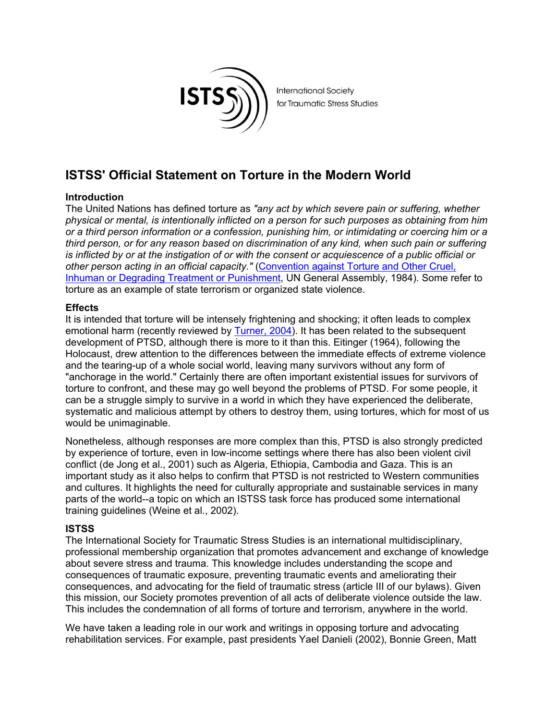

**International Society** for Traumatic Stress Studies

# **ISTSS' Official Statement on Torture in the Modern World**

## **Introduction**

The United Nations has defined torture as *"any act by which severe pain or suffering, whether physical or mental, is intentionally inflicted on a person for such purposes as obtaining from him or a third person information or a confession, punishing him, or intimidating or coercing him or a third person, or for any reason based on discrimination of any kind, when such pain or suffering is inflicted by or at the instigation of or with the consent or acquiescence of a public official or other person acting in an official capacity."* (Convention against Torture and Other Cruel, Inhuman or Degrading Treatment or Punishment, UN General Assembly, 1984). Some refer to torture as an example of state terrorism or organized state violence.

### **Effects**

It is intended that torture will be intensely frightening and shocking; it often leads to complex emotional harm (recently reviewed by Turner, 2004). It has been related to the subsequent development of PTSD, although there is more to it than this. Eitinger (1964), following the Holocaust, drew attention to the differences between the immediate effects of extreme violence and the tearing-up of a whole social world, leaving many survivors without any form of "anchorage in the world." Certainly there are often important existential issues for survivors of torture to confront, and these may go well beyond the problems of PTSD. For some people, it can be a struggle simply to survive in a world in which they have experienced the deliberate, systematic and malicious attempt by others to destroy them, using tortures, which for most of us would be unimaginable.

Nonetheless, although responses are more complex than this, PTSD is also strongly predicted by experience of torture, even in low-income settings where there has also been violent civil conflict (de Jong et al., 2001) such as Algeria, Ethiopia, Cambodia and Gaza. This is an important study as it also helps to confirm that PTSD is not restricted to Western communities and cultures. It highlights the need for culturally appropriate and sustainable services in many parts of the world--a topic on which an ISTSS task force has produced some international training guidelines (Weine et al., 2002).

### **ISTSS**

The International Society for Traumatic Stress Studies is an international multidisciplinary, professional membership organization that promotes advancement and exchange of knowledge about severe stress and trauma. This knowledge includes understanding the scope and consequences of traumatic exposure, preventing traumatic events and ameliorating their consequences, and advocating for the field of traumatic stress (article III of our bylaws). Given this mission, our Society promotes prevention of all acts of deliberate violence outside the law. This includes the condemnation of all forms of torture and terrorism, anywhere in the world.

We have taken a leading role in our work and writings in opposing torture and advocating rehabilitation services. For example, past presidents Yael Danieli (2002), Bonnie Green, Matt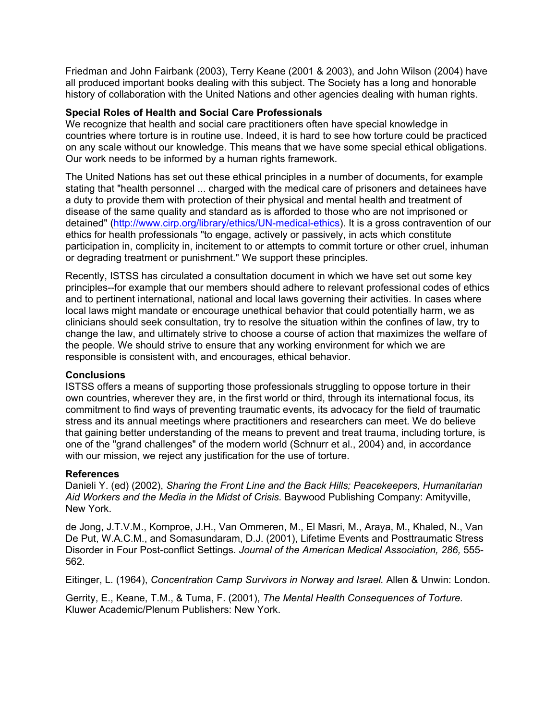Friedman and John Fairbank (2003), Terry Keane (2001 & 2003), and John Wilson (2004) have all produced important books dealing with this subject. The Society has a long and honorable history of collaboration with the United Nations and other agencies dealing with human rights.

#### **Special Roles of Health and Social Care Professionals**

We recognize that health and social care practitioners often have special knowledge in countries where torture is in routine use. Indeed, it is hard to see how torture could be practiced on any scale without our knowledge. This means that we have some special ethical obligations. Our work needs to be informed by a human rights framework.

The United Nations has set out these ethical principles in a number of documents, for example stating that "health personnel ... charged with the medical care of prisoners and detainees have a duty to provide them with protection of their physical and mental health and treatment of disease of the same quality and standard as is afforded to those who are not imprisoned or detained" (http://www.cirp.org/library/ethics/UN-medical-ethics). It is a gross contravention of our ethics for health professionals "to engage, actively or passively, in acts which constitute participation in, complicity in, incitement to or attempts to commit torture or other cruel, inhuman or degrading treatment or punishment." We support these principles.

Recently, ISTSS has circulated a consultation document in which we have set out some key principles--for example that our members should adhere to relevant professional codes of ethics and to pertinent international, national and local laws governing their activities. In cases where local laws might mandate or encourage unethical behavior that could potentially harm, we as clinicians should seek consultation, try to resolve the situation within the confines of law, try to change the law, and ultimately strive to choose a course of action that maximizes the welfare of the people. We should strive to ensure that any working environment for which we are responsible is consistent with, and encourages, ethical behavior.

#### **Conclusions**

ISTSS offers a means of supporting those professionals struggling to oppose torture in their own countries, wherever they are, in the first world or third, through its international focus, its commitment to find ways of preventing traumatic events, its advocacy for the field of traumatic stress and its annual meetings where practitioners and researchers can meet. We do believe that gaining better understanding of the means to prevent and treat trauma, including torture, is one of the "grand challenges" of the modern world (Schnurr et al., 2004) and, in accordance with our mission, we reject any justification for the use of torture.

### **References**

Danieli Y. (ed) (2002), *Sharing the Front Line and the Back Hills; Peacekeepers, Humanitarian Aid Workers and the Media in the Midst of Crisis.* Baywood Publishing Company: Amityville, New York.

de Jong, J.T.V.M., Komproe, J.H., Van Ommeren, M., El Masri, M., Araya, M., Khaled, N., Van De Put, W.A.C.M., and Somasundaram, D.J. (2001), Lifetime Events and Posttraumatic Stress Disorder in Four Post-conflict Settings. *Journal of the American Medical Association, 286,* 555- 562.

Eitinger, L. (1964), *Concentration Camp Survivors in Norway and Israel.* Allen & Unwin: London.

Gerrity, E., Keane, T.M., & Tuma, F. (2001), *The Mental Health Consequences of Torture.* Kluwer Academic/Plenum Publishers: New York.